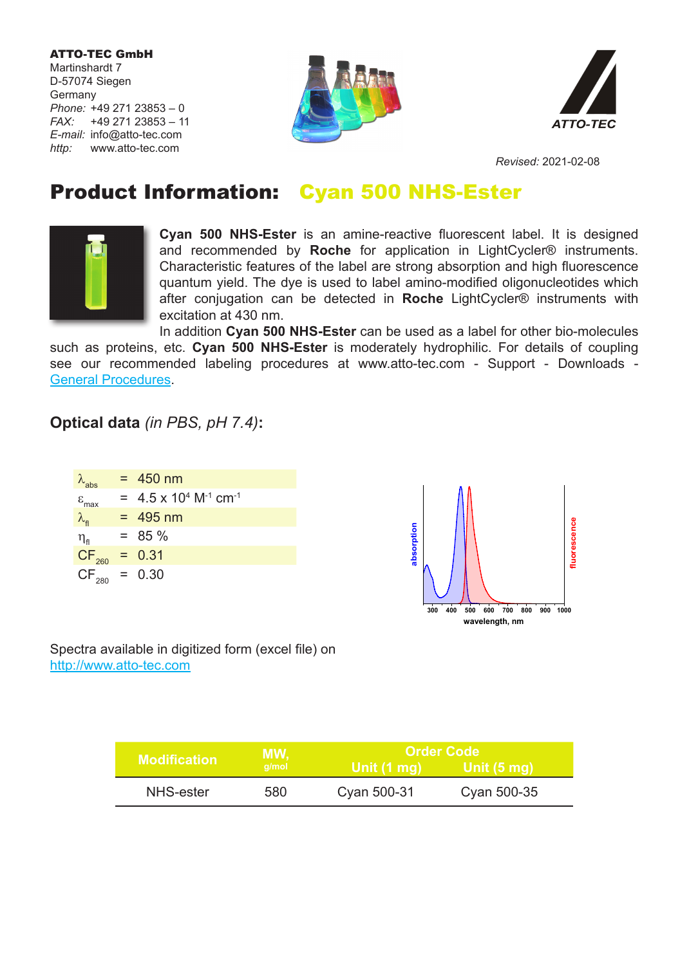ATTO-TEC GmbH Martinshardt 7 D-57074 Siegen Germany *Phone:* +49 271 23853 – 0 *FAX:* +49 271 23853 – 11 *E-mail:* info@atto-tec.com *http:* www.atto-tec.com





*Revised:* 2021-02-08

## Product Information: Cyan 500 NHS-Ester



**Cyan 500 NHS-Ester** is an amine-reactive fluorescent label. It is designed and recommended by **Roche** for application in LightCycler® instruments. Characteristic features of the label are strong absorption and high fluorescence quantum yield. The dye is used to label amino-modified oligonucleotides which after conjugation can be detected in **Roche** LightCycler® instruments with excitation at 430 nm.

In addition **Cyan 500 NHS-Ester** can be used as a label for other bio-molecules such as proteins, etc. **Cyan 500 NHS-Ester** is moderately hydrophilic. For details of coupling see our recommended labeling procedures at www.atto-tec.com - Support - Downloads - General Procedures.

## **Optical data** *(in PBS, pH 7.4)***:**

| $\lambda_{\sf abs}$               | $= 450$ nm                                             |
|-----------------------------------|--------------------------------------------------------|
| $\varepsilon$ <sub>max</sub>      | $= 4.5 \times 10^{4}$ M <sup>-1</sup> cm <sup>-1</sup> |
| $\lambda_{\rm fl}$                | $= 495$ nm                                             |
| $\eta_{\scriptscriptstyle\rm fl}$ | $= 85 \%$                                              |
| CF <sub>260</sub>                 | $= 0.31$                                               |
| $CF_{280} = 0.30$                 |                                                        |



Spectra available in digitized form (excel file) on http://www.atto-tec.com

|                     | MW,<br>a/mol | <b>Order Code</b> |             |
|---------------------|--------------|-------------------|-------------|
| <b>Modification</b> |              | ∣ Unit (1 mq) \   | Unit (5 mg) |
| NHS-ester           | 580          | Cyan 500-31       | Cyan 500-35 |